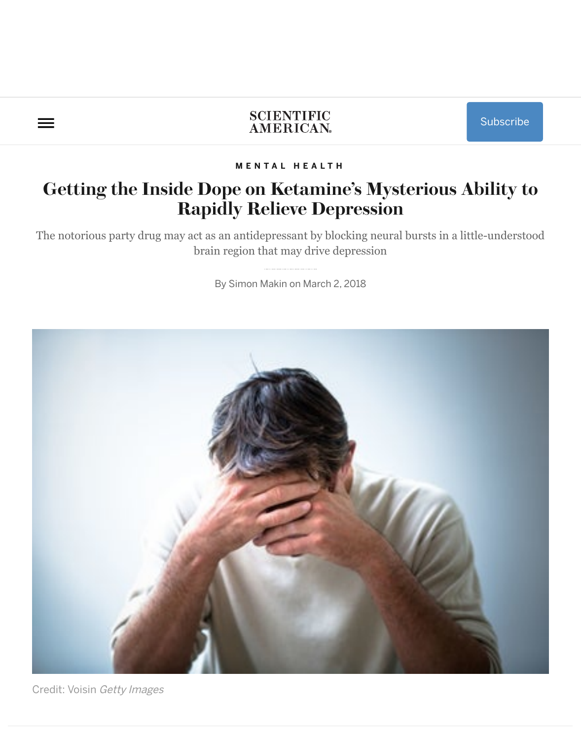#### **SCIENTIFIC AMERICAN**

**[Subscribe](https://www.scientificamerican.com/store/subscribe/scientific-american-mind-digital/)** 

#### **[MENTAL HEALTH](https://www.scientificamerican.com/mental-health/)**

## **Getting the Inside Dope on Ketamine's Mysterious Ability to Rapidly Relieve Depression**

The notorious party drug may act as an antidepressant by blocking neural bursts in a little-understood brain region that may drive depression

By [Simon Makin](https://www.scientificamerican.com/author/simon-makin/) on March 2, 2018



Credit: Voisin [Getty Images](https://www.gettyimages.com/license/596318316)

 $=$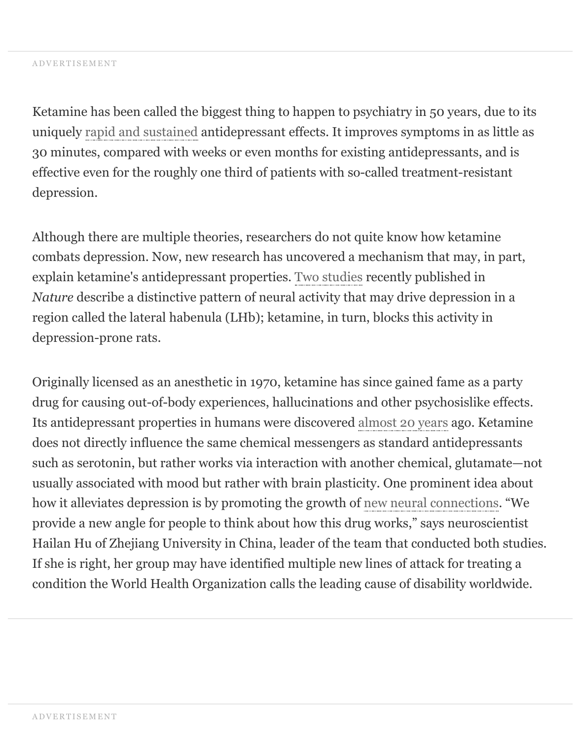#### ADVERTISEMENT

Ketamine has been called the biggest thing to happen to psychiatry in 50 years, due to its uniquely [rapid and sustained](https://www.ncbi.nlm.nih.gov/pmc/articles/PMC4243034/) antidepressant effects. It improves symptoms in as little as 30 minutes, compared with weeks or even months for existing antidepressants, and is effective even for the roughly one third of patients with so-called treatment-resistant depression.

Although there are multiple theories, researchers do not quite know how ketamine combats depression. Now, new research has uncovered a mechanism that may, in part, explain ketamine's antidepressant properties. [Two studies](https://www.nature.com/articles/d41586-018-01588-z) recently published in *Nature* describe a distinctive pattern of neural activity that may drive depression in a region called the lateral habenula (LHb); ketamine, in turn, blocks this activity in depression-prone rats.

Originally licensed as an anesthetic in 1970, ketamine has since gained fame as a party drug for causing out-of-body experiences, hallucinations and other psychosislike effects. Its antidepressant properties in humans were discovered [almost 20 years](https://www.ncbi.nlm.nih.gov/pubmed/10686270) ago. Ketamine does not directly influence the same chemical messengers as standard antidepressants such as serotonin, but rather works via interaction with another chemical, glutamate—not usually associated with mood but rather with brain plasticity. One prominent idea about how it alleviates depression is by promoting the growth of [new neural connections](https://www.ncbi.nlm.nih.gov/pmc/articles/PMC4961540/). "We provide a new angle for people to think about how this drug works," says neuroscientist Hailan Hu of Zhejiang University in China, leader of the team that conducted both studies. If she is right, her group may have identified multiple new lines of attack for treating a condition the World Health Organization calls the leading cause of disability worldwide.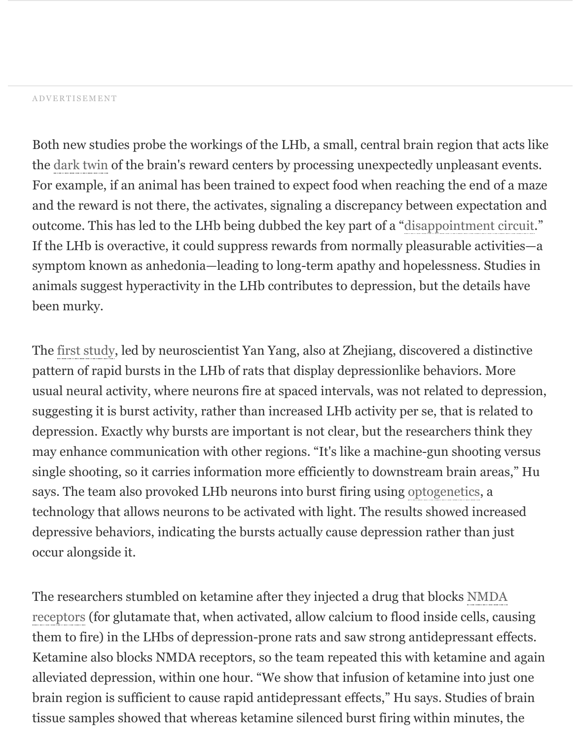#### ADVERTISEMENT

Both new studies probe the workings of the LHb, a small, central brain region that acts like the [dark twin](https://www.ncbi.nlm.nih.gov/pmc/articles/PMC5374329/) of the brain's reward centers by processing unexpectedly unpleasant events. For example, if an animal has been trained to expect food when reaching the end of a maze and the reward is not there, the activates, signaling a discrepancy between expectation and outcome. This has led to the LHb being dubbed the key part of a ["disappointment circuit](https://www.scientificamerican.com/article/depression-tweaks-the-brain-s-disappointment-circuit/)." If the LHb is overactive, it could suppress rewards from normally pleasurable activities—a symptom known as anhedonia—leading to long-term apathy and hopelessness. Studies in animals suggest hyperactivity in the LHb contributes to depression, but the details have been murky.

The [first study](https://www.nature.com/articles/nature25509), led by neuroscientist Yan Yang, also at Zhejiang, discovered a distinctive pattern of rapid bursts in the LHb of rats that display depressionlike behaviors. More usual neural activity, where neurons fire at spaced intervals, was not related to depression, suggesting it is burst activity, rather than increased LHb activity per se, that is related to depression. Exactly why bursts are important is not clear, but the researchers think they may enhance communication with other regions. "It's like a machine-gun shooting versus single shooting, so it carries information more efficiently to downstream brain areas," Hu says. The team also provoked LHb neurons into burst firing using [optogenetics](https://www.scientificamerican.com/article/breakthrough-prize-for-illuminating-the-brain-s-secret-code/), a technology that allows neurons to be activated with light. The results showed increased depressive behaviors, indicating the bursts actually cause depression rather than just occur alongside it.

The researchers stumbled on ketamine after they injected a drug that blocks NMDA [receptors \(for glutamate that, when activated, allow calcium to flood inside cells, cau](https://www.dnalc.org/view/1109-NMDA-Receptors-Multi-protein-Complexes-LTP.html)sing them to fire) in the LHbs of depression-prone rats and saw strong antidepressant effects. Ketamine also blocks NMDA receptors, so the team repeated this with ketamine and again alleviated depression, within one hour. "We show that infusion of ketamine into just one brain region is sufficient to cause rapid antidepressant effects," Hu says. Studies of brain tissue samples showed that whereas ketamine silenced burst firing within minutes, the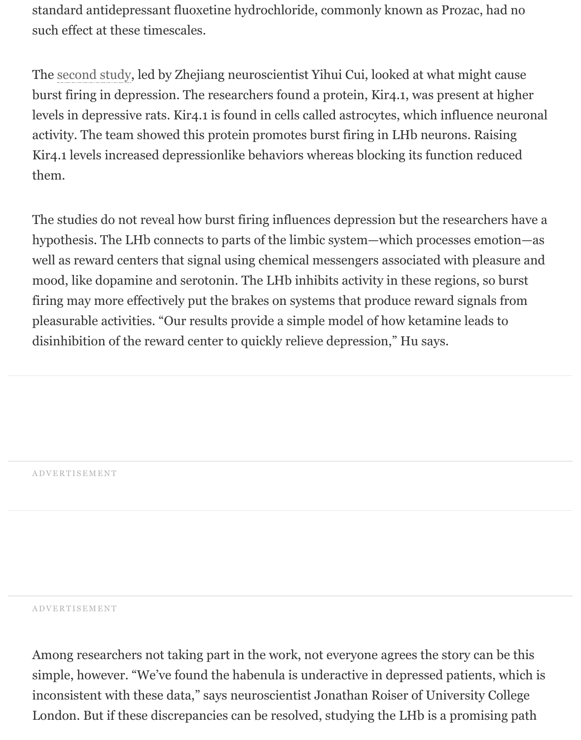standard antidepressant fluoxetine hydrochloride, commonly known as Prozac, had no such effect at these timescales.

The [second study,](https://www.nature.com/articles/nature25752) led by Zhejiang neuroscientist Yihui Cui, looked at what might cause burst firing in depression. The researchers found a protein, Kir4.1, was present at higher levels in depressive rats. Kir4.1 is found in cells called astrocytes, which influence neuronal activity. The team showed this protein promotes burst firing in LHb neurons. Raising Kir4.1 levels increased depressionlike behaviors whereas blocking its function reduced them.

The studies do not reveal how burst firing influences depression but the researchers have a hypothesis. The LHb connects to parts of the limbic system—which processes emotion—as well as reward centers that signal using chemical messengers associated with pleasure and mood, like dopamine and serotonin. The LHb inhibits activity in these regions, so burst firing may more effectively put the brakes on systems that produce reward signals from pleasurable activities. "Our results provide a simple model of how ketamine leads to disinhibition of the reward center to quickly relieve depression," Hu says.

ADVERTISEMENT

ADVERTISEMENT

Among researchers not taking part in the work, not everyone agrees the story can be this simple, however. "We've found the habenula is underactive in depressed patients, which is inconsistent with these data," says neuroscientist Jonathan Roiser of University College London. But if these discrepancies can be resolved, studying the LHb is a promising path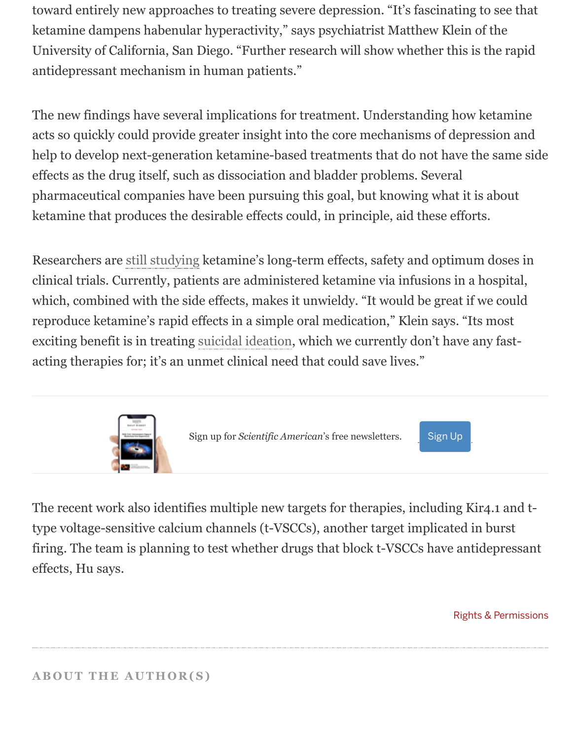toward entirely new approaches to treating severe depression. "It's fascinating to see that ketamine dampens habenular hyperactivity," says psychiatrist Matthew Klein of the University of California, San Diego. "Further research will show whether this is the rapid antidepressant mechanism in human patients."

The new findings have several implications for treatment. Understanding how ketamine acts so quickly could provide greater insight into the core mechanisms of depression and help to develop next-generation ketamine-based treatments that do not have the same side effects as the drug itself, such as dissociation and bladder problems. Several pharmaceutical companies have been pursuing this goal, but knowing what it is about ketamine that produces the desirable effects could, in principle, aid these efforts.

Researchers are [still studying](https://www.ncbi.nlm.nih.gov/pmc/articles/PMC4243034/) ketamine's long-term effects, safety and optimum doses in clinical trials. Currently, patients are administered ketamine via infusions in a hospital, which, combined with the side effects, makes it unwieldy. "It would be great if we could reproduce ketamine's rapid effects in a simple oral medication," Klein says. "Its most exciting benefit is in treating [suicidal ideation](https://www.ncbi.nlm.nih.gov/pubmed/20673547), which we currently don't have any fastacting therapies for; it's an unmet clinical need that could save lives."



Sign up for *Scientific American*'s free newsletters.

[Sign Up](https://www.scientificamerican.com/page/newsletter-sign-up/?origincode=2018_sciam_ArticlePromo_NewsletterSignUp)

The recent work also identifies multiple new targets for therapies, including Kir4.1 and ttype voltage-sensitive calcium channels (t-VSCCs), another target implicated in burst firing. The team is planning to test whether drugs that block t-VSCCs have antidepressant effects, Hu says.

[Rights & Permissions](https://www.scientificamerican.com/article/getting-the-inside-dope-on-ketamine-rsquo-s-mysterious-ability-to-rapidly-relieve-depression/?redirect=1#)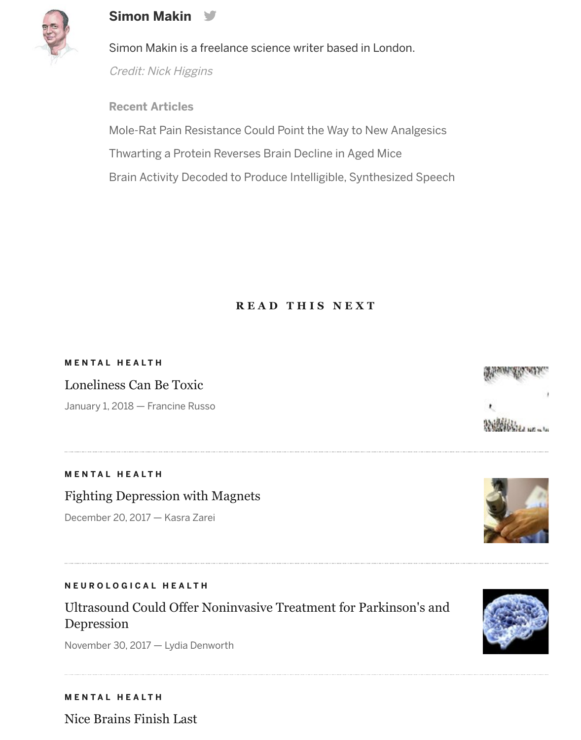

#### **Simon Makin**

Simon Makin is a freelance science writer based in London. Credit: Nick Higgins

**Recent Articles**

[Mole-Rat Pain Resistance Could Point the Way to New Analgesics](https://www.scientificamerican.com/article/mole-rat-pain-resistance-could-point-the-way-to-new-analgesics/) [Thwarting a Protein Reverses Brain Decline in Aged Mice](https://www.scientificamerican.com/article/thwarting-a-protein-reverses-brain-decline-in-aged-mice/) [Brain Activity Decoded to Produce Intelligible, Synthesized Speech](https://www.scientificamerican.com/article/brain-activity-decoded-to-produce-intelligible-synthesized-speech/)

#### **READ THIS NEXT**

#### **MENTAL HEALTH**

[Loneliness Can Be Toxic](https://www.scientificamerican.com/article/loneliness-can-be-toxic/) January 1, 2018 — Francine Russo

#### **MENTAL HEALTH**

#### [Fighting Depression with Magnets](https://blogs.scientificamerican.com/observations/fighting-depression-with-magnets/)

December 20, 2017 — Kasra Zarei

#### **NEUROLOGICAL HEALTH**

[Ultrasound Could Offer Noninvasive Treatment for Parkinson's and](https://www.scientificamerican.com/article/ultrasound-could-offer-noninvasive-treatment-for-parkinson-rsquo-s-and-depression/) Depression

November 30, 2017 — Lydia Denworth



#### **MENTAL HEALTH**

[Nice Brains Finish Last](https://www.scientificamerican.com/article/nice-brains-finish-last/)

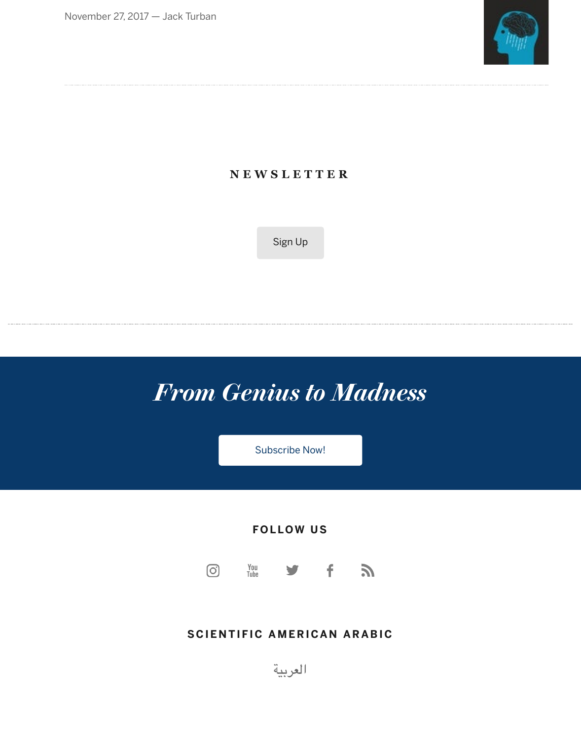

### **NEWSLETTER**

[Sign Up](https://www.scientificamerican.com/page/newsletter-sign-up/?origincode=2016_sciam_ArticleFooter_NewsletterSignUp&category=subjects/mind-and-brain/mental-health)

# *From Genius to Madness*

[Subscribe Now!](https://www.scientificamerican.com/store/subscribe/scientific-american-mind-digital/)

**FOLLOW US**

 $\odot$ You<br>Tube  $\mathbf{z}$  $f$ V

#### **SCIENTIFIC AMERICAN ARABIC**

[العربية](https://www.scientificamerican.com/arabic/)